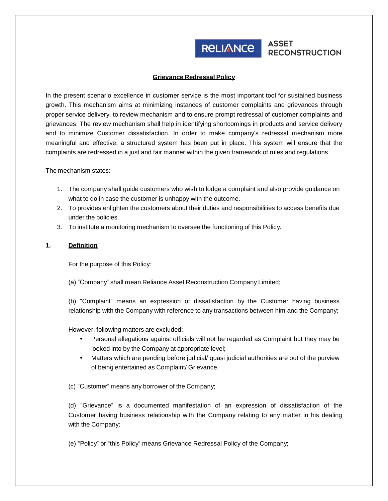

# RELIANCE ASSET

#### **Grievance Redressal Policy**

In the present scenario excellence in customer service is the most important tool for sustained business growth. This mechanism aims at minimizing instances of customer complaints and grievances through proper service delivery, to review mechanism and to ensure prompt redressal of customer complaints and grievances. The review mechanism shall help in identifying shortcomings in products and service delivery and to minimize Customer dissatisfaction. In order to make company's redressal mechanism more meaningful and effective, a structured system has been put in place. This system will ensure that the complaints are redressed in a just and fair manner within the given framework of rules and regulations.

The mechanism states:

- 1. The company shall guide customers who wish to lodge a complaint and also provide guidance on what to do in case the customer is unhappy with the outcome.
- 2. To provides enlighten the customers about their duties and responsibilities to access benefits due under the policies.
- 3. To institute a monitoring mechanism to oversee the functioning of this Policy.

#### **1. Definition**

For the purpose of this Policy:

(a) "Company" shall mean Reliance Asset Reconstruction Company Limited;

(b) "Complaint" means an expression of dissatisfaction by the Customer having business relationship with the Company with reference to any transactions between him and the Company;

However, following matters are excluded:

- Personal allegations against officials will not be regarded as Complaint but they may be looked into by the Company at appropriate level;
- Matters which are pending before judicial/ quasi judicial authorities are out of the purview of being entertained as Complaint/ Grievance.

(c) "Customer" means any borrower of the Company;

(d) "Grievance" is a documented manifestation of an expression of dissatisfaction of the Customer having business relationship with the Company relating to any matter in his dealing with the Company;

(e) "Policy" or "this Policy" means Grievance Redressal Policy of the Company;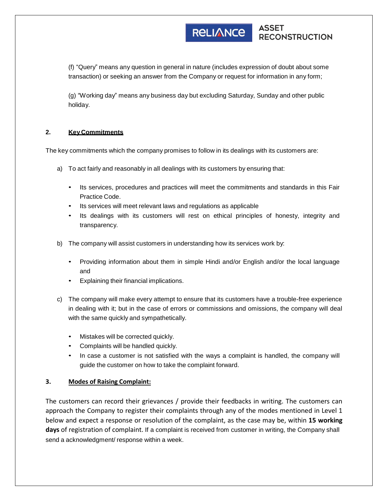#### **ASSET RELIANCE RECONSTRUCTION**

(f) "Query" means any question in general in nature (includes expression of doubt about some transaction) or seeking an answer from the Company or request for information in any form;

(g) "Working day" means any business day but excluding Saturday, Sunday and other public holiday.

### **2. Key Commitments**

The key commitments which the company promises to follow in its dealings with its customers are:

- a) To act fairly and reasonably in all dealings with its customers by ensuring that:
	- Its services, procedures and practices will meet the commitments and standards in this Fair Practice Code.
	- Its services will meet relevant laws and regulations as applicable
	- Its dealings with its customers will rest on ethical principles of honesty, integrity and transparency.
- b) The company will assist customers in understanding how its services work by:
	- Providing information about them in simple Hindi and/or English and/or the local language and
	- Explaining their financial implications.
- c) The company will make every attempt to ensure that its customers have a trouble-free experience in dealing with it; but in the case of errors or commissions and omissions, the company will deal with the same quickly and sympathetically.
	- Mistakes will be corrected quickly.
	- Complaints will be handled quickly.
	- In case a customer is not satisfied with the ways a complaint is handled, the company will guide the customer on how to take the complaint forward.

## **3. Modes of Raising Complaint:**

The customers can record their grievances / provide their feedbacks in writing. The customers can approach the Company to register their complaints through any of the modes mentioned in Level 1 below and expect a response or resolution of the complaint, as the case may be, within **15 working days** of registration of complaint. If a complaint is received from customer in writing, the Company shall send a acknowledgment/ response within a week.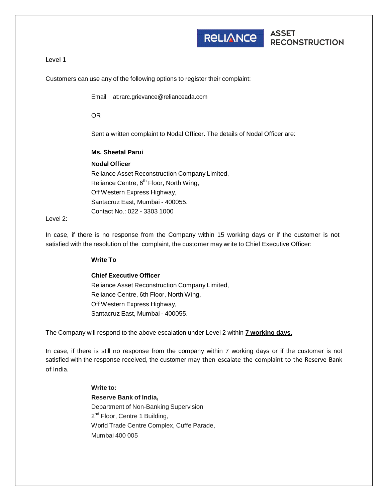

RELIANCE ASSET

### Level 1

Customers can use any of the following options to register their complaint:

Email [at:rarc.grievance@relianceada.com](mailto:rarc.grievance@relianceada.com)

OR

Sent a written complaint to Nodal Officer. The details of Nodal Officer are:

**Ms. Sheetal Parui Nodal Officer** Reliance Asset Reconstruction Company Limited, Reliance Centre, 6<sup>th</sup> Floor, North Wing, Off Western Express Highway, Santacruz East, Mumbai - 400055. Contact No.: 022 - 3303 1000

#### Level 2:

In case, if there is no response from the Company within 15 working days or if the customer is not satisfied with the resolution of the complaint, the customer may write to Chief Executive Officer:

**Write To**

#### **Chief Executive Officer**

Reliance Asset Reconstruction Company Limited, Reliance Centre, 6th Floor, North Wing, Off Western Express Highway, Santacruz East, Mumbai - 400055.

The Company will respond to the above escalation under Level 2 within **7 working days.**

In case, if there is still no response from the company within 7 working days or if the customer is not satisfied with the response received, the customer may then escalate the complaint to the Reserve Bank of India.

> **Write to: Reserve Bank of India,** Department of Non-Banking Supervision 2<sup>nd</sup> Floor, Centre 1 Building, World Trade Centre Complex, Cuffe Parade, Mumbai 400 005